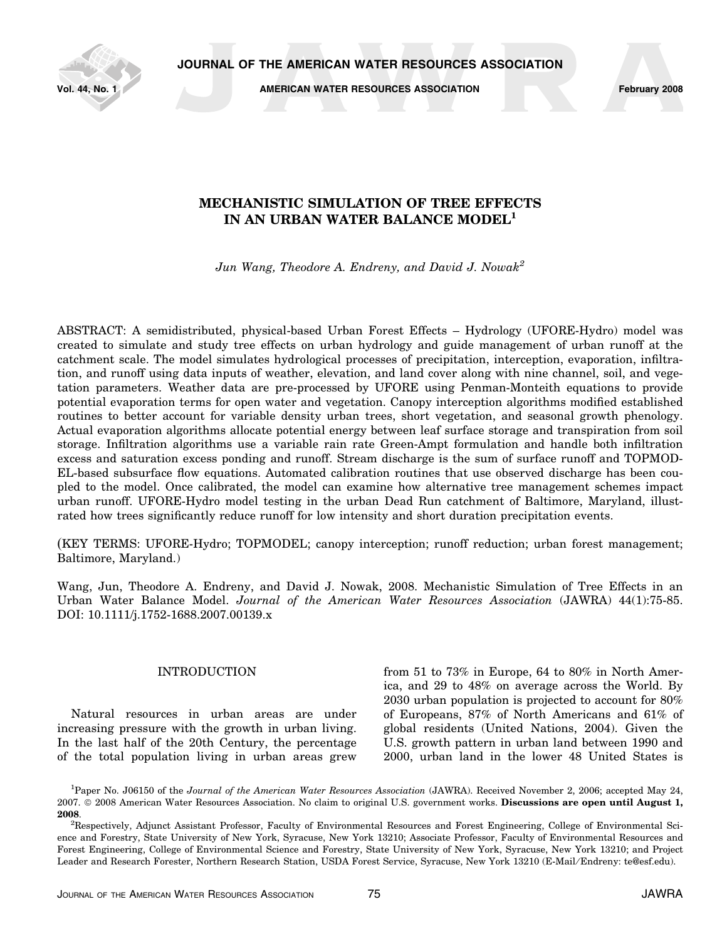

JOURNAL OF THE AMERICAN WATER RESOURCES ASSOCIATION

Vol. 44, No. 1 **AMERICAN WATER RESOURCES ASSOCIATION** February 2008

# MECHANISTIC SIMULATION OF TREE EFFECTS IN AN URBAN WATER BALANCE MODEL<sup>1</sup>

Jun Wang, Theodore A. Endreny, and David J. Nowak<sup>2</sup>

ABSTRACT: A semidistributed, physical-based Urban Forest Effects – Hydrology (UFORE-Hydro) model was created to simulate and study tree effects on urban hydrology and guide management of urban runoff at the catchment scale. The model simulates hydrological processes of precipitation, interception, evaporation, infiltration, and runoff using data inputs of weather, elevation, and land cover along with nine channel, soil, and vegetation parameters. Weather data are pre-processed by UFORE using Penman-Monteith equations to provide potential evaporation terms for open water and vegetation. Canopy interception algorithms modified established routines to better account for variable density urban trees, short vegetation, and seasonal growth phenology. Actual evaporation algorithms allocate potential energy between leaf surface storage and transpiration from soil storage. Infiltration algorithms use a variable rain rate Green-Ampt formulation and handle both infiltration excess and saturation excess ponding and runoff. Stream discharge is the sum of surface runoff and TOPMOD-EL-based subsurface flow equations. Automated calibration routines that use observed discharge has been coupled to the model. Once calibrated, the model can examine how alternative tree management schemes impact urban runoff. UFORE-Hydro model testing in the urban Dead Run catchment of Baltimore, Maryland, illustrated how trees significantly reduce runoff for low intensity and short duration precipitation events.

(KEY TERMS: UFORE-Hydro; TOPMODEL; canopy interception; runoff reduction; urban forest management; Baltimore, Maryland.)

Wang, Jun, Theodore A. Endreny, and David J. Nowak, 2008. Mechanistic Simulation of Tree Effects in an Urban Water Balance Model. Journal of the American Water Resources Association (JAWRA) 44(1):75-85. DOI: 10.1111/j.1752-1688.2007.00139.x

## INTRODUCTION

Natural resources in urban areas are under increasing pressure with the growth in urban living. In the last half of the 20th Century, the percentage of the total population living in urban areas grew from 51 to 73% in Europe, 64 to 80% in North America, and 29 to 48% on average across the World. By 2030 urban population is projected to account for 80% of Europeans, 87% of North Americans and 61% of global residents (United Nations, 2004). Given the U.S. growth pattern in urban land between 1990 and 2000, urban land in the lower 48 United States is

<sup>&</sup>lt;sup>1</sup>Paper No. J06150 of the Journal of the American Water Resources Association (JAWRA). Received November 2, 2006; accepted May 24, 2007. © 2008 American Water Resources Association. No claim to original U.S. government works. Discussions are open until August 1, <sup>2008</sup>. <sup>2</sup>

<sup>&</sup>lt;sup>2</sup>Respectively, Adjunct Assistant Professor, Faculty of Environmental Resources and Forest Engineering, College of Environmental Science and Forestry, State University of New York, Syracuse, New York 13210; Associate Professor, Faculty of Environmental Resources and Forest Engineering, College of Environmental Science and Forestry, State University of New York, Syracuse, New York 13210; and Project Leader and Research Forester, Northern Research Station, USDA Forest Service, Syracuse, New York 13210 (E-Mail/Endreny: te@esf.edu).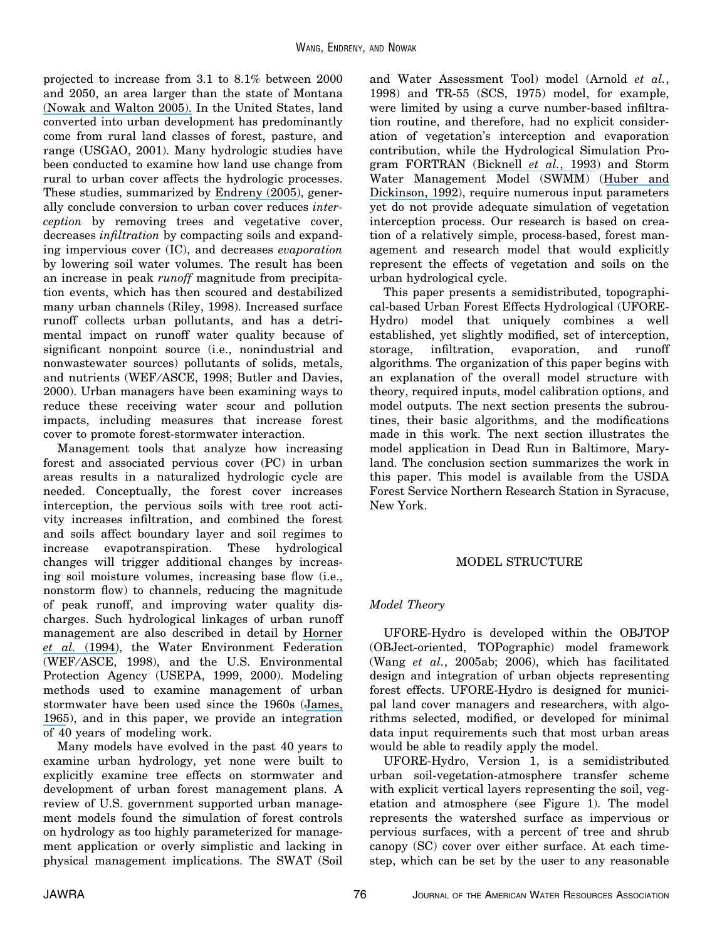projected to increase from 3.1 to 8.1% between 2000 and 2050, an area larger than the state of Montana [\(Nowak and Walton 2005\).](https://www.researchgate.net/publication/233585948_Projected_Urban_Growth_2000-2050_and_Its_Estimated_Impact_on_the_US_Forest_Resource?el=1_x_8&enrichId=rgreq-7249736cdd7635b4cfbf9779bd15ace4-XXX&enrichSource=Y292ZXJQYWdlOzIyNzUxMDU2NjtBUzoxMDI2MDczMTM5NjUwNjFAMTQwMTQ3NDg5ODMwNw==) In the United States, land converted into urban development has predominantly come from rural land classes of forest, pasture, and range (USGAO, 2001). Many hydrologic studies have been conducted to examine how land use change from rural to urban cover affects the hydrologic processes. These studies, summarized by [Endreny \(2005\)](https://www.researchgate.net/publication/229749876_Land_Use_and_Land_Cover_Effects_on_Runoff_Processes_Urban_and_Suburban_Development?el=1_x_8&enrichId=rgreq-7249736cdd7635b4cfbf9779bd15ace4-XXX&enrichSource=Y292ZXJQYWdlOzIyNzUxMDU2NjtBUzoxMDI2MDczMTM5NjUwNjFAMTQwMTQ3NDg5ODMwNw==), generally conclude conversion to urban cover reduces interception by removing trees and vegetative cover, decreases infiltration by compacting soils and expanding impervious cover (IC), and decreases evaporation by lowering soil water volumes. The result has been an increase in peak runoff magnitude from precipitation events, which has then scoured and destabilized many urban channels (Riley, 1998). Increased surface runoff collects urban pollutants, and has a detrimental impact on runoff water quality because of significant nonpoint source (i.e., nonindustrial and nonwastewater sources) pollutants of solids, metals, and nutrients (WEF⁄ASCE, 1998; Butler and Davies, 2000). Urban managers have been examining ways to reduce these receiving water scour and pollution impacts, including measures that increase forest cover to promote forest-stormwater interaction.

Management tools that analyze how increasing forest and associated pervious cover (PC) in urban areas results in a naturalized hydrologic cycle are needed. Conceptually, the forest cover increases interception, the pervious soils with tree root activity increases infiltration, and combined the forest and soils affect boundary layer and soil regimes to increase evapotranspiration. These hydrological changes will trigger additional changes by increasing soil moisture volumes, increasing base flow (i.e., nonstorm flow) to channels, reducing the magnitude of peak runoff, and improving water quality discharges. Such hydrological linkages of urban runoff management are also described in detail by [Horner](https://www.researchgate.net/publication/246275125_Fundamentals_of_Urban_Runoff_Management_Technical_and_Institutional_Issues?el=1_x_8&enrichId=rgreq-7249736cdd7635b4cfbf9779bd15ace4-XXX&enrichSource=Y292ZXJQYWdlOzIyNzUxMDU2NjtBUzoxMDI2MDczMTM5NjUwNjFAMTQwMTQ3NDg5ODMwNw==) et al. [\(1994\)](https://www.researchgate.net/publication/246275125_Fundamentals_of_Urban_Runoff_Management_Technical_and_Institutional_Issues?el=1_x_8&enrichId=rgreq-7249736cdd7635b4cfbf9779bd15ace4-XXX&enrichSource=Y292ZXJQYWdlOzIyNzUxMDU2NjtBUzoxMDI2MDczMTM5NjUwNjFAMTQwMTQ3NDg5ODMwNw==), the Water Environment Federation (WEF⁄ ASCE, 1998), and the U.S. Environmental Protection Agency (USEPA, 1999, 2000). Modeling methods used to examine management of urban stormwater have been used since the 1960s ([James,](https://www.researchgate.net/publication/253302009_Using_a_Digital_Computer_to_Estimate_the_Effects_of_Urban_Development_on_Flood_Peak?el=1_x_8&enrichId=rgreq-7249736cdd7635b4cfbf9779bd15ace4-XXX&enrichSource=Y292ZXJQYWdlOzIyNzUxMDU2NjtBUzoxMDI2MDczMTM5NjUwNjFAMTQwMTQ3NDg5ODMwNw==) [1965](https://www.researchgate.net/publication/253302009_Using_a_Digital_Computer_to_Estimate_the_Effects_of_Urban_Development_on_Flood_Peak?el=1_x_8&enrichId=rgreq-7249736cdd7635b4cfbf9779bd15ace4-XXX&enrichSource=Y292ZXJQYWdlOzIyNzUxMDU2NjtBUzoxMDI2MDczMTM5NjUwNjFAMTQwMTQ3NDg5ODMwNw==)), and in this paper, we provide an integration of 40 years of modeling work.

Many models have evolved in the past 40 years to examine urban hydrology, yet none were built to explicitly examine tree effects on stormwater and development of urban forest management plans. A review of U.S. government supported urban management models found the simulation of forest controls on hydrology as too highly parameterized for management application or overly simplistic and lacking in physical management implications. The SWAT (Soil and Water Assessment Tool) model (Arnold et al., 1998) and TR-55 (SCS, 1975) model, for example, were limited by using a curve number-based infiltration routine, and therefore, had no explicit consideration of vegetation's interception and evaporation contribution, while the Hydrological Simulation Program FORTRAN ([Bicknell](https://www.researchgate.net/publication/244059754_Hydrological_Simulation_Program_-_FORTRAN_User) et al., 1993) and Storm Water Management Model (SWMM) ([Huber and](https://www.researchgate.net/publication/257343223_Storm_Water_Management_Model_User) [Dickinson, 1992](https://www.researchgate.net/publication/257343223_Storm_Water_Management_Model_User)), require numerous input parameters yet do not provide adequate simulation of vegetation interception process. Our research is based on creation of a relatively simple, process-based, forest management and research model that would explicitly represent the effects of vegetation and soils on the urban hydrological cycle.

This paper presents a semidistributed, topographical-based Urban Forest Effects Hydrological (UFORE-Hydro) model that uniquely combines a well established, yet slightly modified, set of interception, storage, infiltration, evaporation, and runoff algorithms. The organization of this paper begins with an explanation of the overall model structure with theory, required inputs, model calibration options, and model outputs. The next section presents the subroutines, their basic algorithms, and the modifications made in this work. The next section illustrates the model application in Dead Run in Baltimore, Maryland. The conclusion section summarizes the work in this paper. This model is available from the USDA Forest Service Northern Research Station in Syracuse, New York.

# MODEL STRUCTURE

## Model Theory

UFORE-Hydro is developed within the OBJTOP (OBJect-oriented, TOPographic) model framework (Wang et al., 2005ab; 2006), which has facilitated design and integration of urban objects representing forest effects. UFORE-Hydro is designed for municipal land cover managers and researchers, with algorithms selected, modified, or developed for minimal data input requirements such that most urban areas would be able to readily apply the model.

UFORE-Hydro, Version 1, is a semidistributed urban soil-vegetation-atmosphere transfer scheme with explicit vertical layers representing the soil, vegetation and atmosphere (see Figure 1). The model represents the watershed surface as impervious or pervious surfaces, with a percent of tree and shrub canopy (SC) cover over either surface. At each timestep, which can be set by the user to any reasonable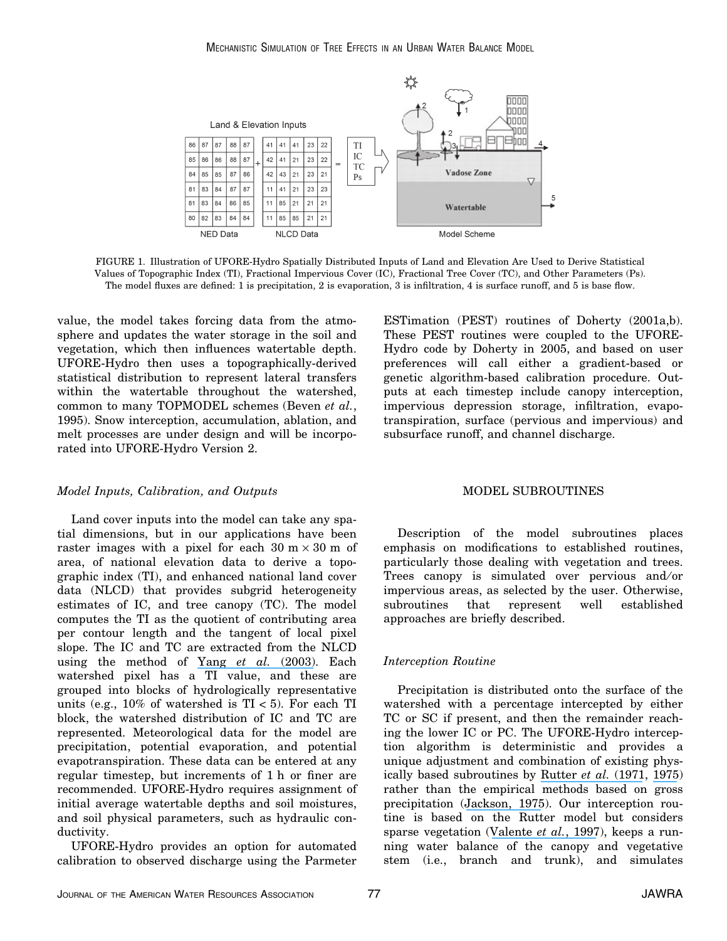MECHANISTIC SIMULATION OF TREE EFFECTS IN AN URBAN WATER BALANCE MODEL



FIGURE 1. Illustration of UFORE-Hydro Spatially Distributed Inputs of Land and Elevation Are Used to Derive Statistical Values of Topographic Index (TI), Fractional Impervious Cover (IC), Fractional Tree Cover (TC), and Other Parameters (Ps). The model fluxes are defined: 1 is precipitation, 2 is evaporation, 3 is infiltration, 4 is surface runoff, and 5 is base flow.

value, the model takes forcing data from the atmosphere and updates the water storage in the soil and vegetation, which then influences watertable depth. UFORE-Hydro then uses a topographically-derived statistical distribution to represent lateral transfers within the watertable throughout the watershed, common to many TOPMODEL schemes (Beven et al., 1995). Snow interception, accumulation, ablation, and melt processes are under design and will be incorporated into UFORE-Hydro Version 2.

## Model Inputs, Calibration, and Outputs

Land cover inputs into the model can take any spatial dimensions, but in our applications have been raster images with a pixel for each  $30 \text{ m} \times 30 \text{ m}$  of area, of national elevation data to derive a topographic index (TI), and enhanced national land cover data (NLCD) that provides subgrid heterogeneity estimates of IC, and tree canopy (TC). The model computes the TI as the quotient of contributing area per contour length and the tangent of local pixel slope. The IC and TC are extracted from the NLCD using the method of Yang  $et \ al.$  (2003). Each watershed pixel has a TI value, and these are grouped into blocks of hydrologically representative units (e.g.,  $10\%$  of watershed is TI < 5). For each TI block, the watershed distribution of IC and TC are represented. Meteorological data for the model are precipitation, potential evaporation, and potential evapotranspiration. These data can be entered at any regular timestep, but increments of 1 h or finer are recommended. UFORE-Hydro requires assignment of initial average watertable depths and soil moistures, and soil physical parameters, such as hydraulic conductivity.

UFORE-Hydro provides an option for automated calibration to observed discharge using the Parmeter ESTimation (PEST) routines of Doherty (2001a,b). These PEST routines were coupled to the UFORE-Hydro code by Doherty in 2005, and based on user preferences will call either a gradient-based or genetic algorithm-based calibration procedure. Outputs at each timestep include canopy interception, impervious depression storage, infiltration, evapotranspiration, surface (pervious and impervious) and subsurface runoff, and channel discharge.

## MODEL SUBROUTINES

Description of the model subroutines places emphasis on modifications to established routines, particularly those dealing with vegetation and trees. Trees canopy is simulated over pervious and/or impervious areas, as selected by the user. Otherwise, subroutines that represent well established approaches are briefly described.

## Interception Routine

Precipitation is distributed onto the surface of the watershed with a percentage intercepted by either TC or SC if present, and then the remainder reaching the lower IC or PC. The UFORE-Hydro interception algorithm is deterministic and provides a unique adjustment and combination of existing physically based subroutines by [Rutter](https://www.researchgate.net/publication/51997208_A_predictive_model_of_rainfall_interception_in_forests_I_Derivation_of_the_model_from_observations_in_a_plantation_of_Corsican_pine?el=1_x_8&enrichId=rgreq-7249736cdd7635b4cfbf9779bd15ace4-XXX&enrichSource=Y292ZXJQYWdlOzIyNzUxMDU2NjtBUzoxMDI2MDczMTM5NjUwNjFAMTQwMTQ3NDg5ODMwNw==) et al. (1971, [1975](https://www.researchgate.net/publication/51996868_A_Predictive_Model_of_Rainfall_Interception_in_Forests_II_Generalization_of_the_Model_and_Comparison_with_Observations_in_Some_Coniferous_and_Hardwood_Stands?el=1_x_8&enrichId=rgreq-7249736cdd7635b4cfbf9779bd15ace4-XXX&enrichSource=Y292ZXJQYWdlOzIyNzUxMDU2NjtBUzoxMDI2MDczMTM5NjUwNjFAMTQwMTQ3NDg5ODMwNw==)) rather than the empirical methods based on gross precipitation ([Jackson, 1975](https://www.researchgate.net/publication/222323157_Relationships_Between_Rainfall_Parameters_and_Interception_by_Tropical_Forest?el=1_x_8&enrichId=rgreq-7249736cdd7635b4cfbf9779bd15ace4-XXX&enrichSource=Y292ZXJQYWdlOzIyNzUxMDU2NjtBUzoxMDI2MDczMTM5NjUwNjFAMTQwMTQ3NDg5ODMwNw==)). Our interception routine is based on the Rutter model but considers sparse vegetation ([Valente](https://www.researchgate.net/publication/222470616_Modeling_Interception_Loss_for_Two_Sparse_Eucalypt_and_Pine_Forests_in_Central_Portugal_Using_Reformulated_Rutter_and_Gash_Analytical_Models?el=1_x_8&enrichId=rgreq-7249736cdd7635b4cfbf9779bd15ace4-XXX&enrichSource=Y292ZXJQYWdlOzIyNzUxMDU2NjtBUzoxMDI2MDczMTM5NjUwNjFAMTQwMTQ3NDg5ODMwNw==) et al., 1997), keeps a running water balance of the canopy and vegetative stem (i.e., branch and trunk), and simulates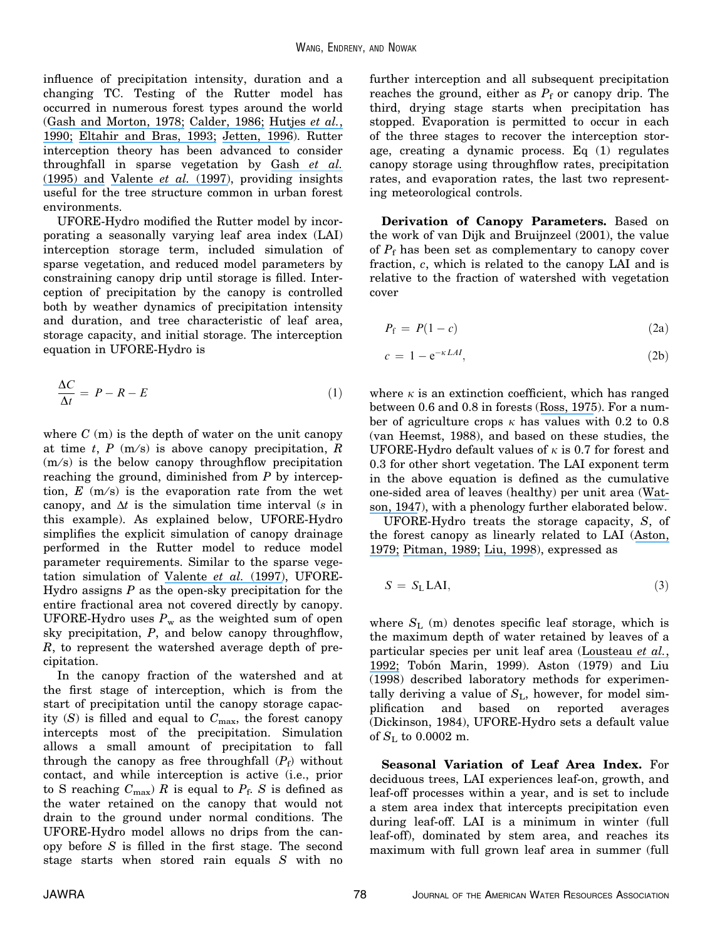influence of precipitation intensity, duration and a changing TC. Testing of the Rutter model has occurred in numerous forest types around the world ([Gash and Morton, 1978;](https://www.researchgate.net/publication/222793053_An_Application_of_the_Rutter_Model_to_the_Estimation_of_Interception_Loss_From_Thetford_Forest?el=1_x_8&enrichId=rgreq-7249736cdd7635b4cfbf9779bd15ace4-XXX&enrichSource=Y292ZXJQYWdlOzIyNzUxMDU2NjtBUzoxMDI2MDczMTM5NjUwNjFAMTQwMTQ3NDg5ODMwNw==) [Calder, 1986;](https://www.researchgate.net/publication/222126713_A_Stochastic_Model_of_Rainfall_Interception?el=1_x_8&enrichId=rgreq-7249736cdd7635b4cfbf9779bd15ace4-XXX&enrichSource=Y292ZXJQYWdlOzIyNzUxMDU2NjtBUzoxMDI2MDczMTM5NjUwNjFAMTQwMTQ3NDg5ODMwNw==) [Hutjes](https://www.researchgate.net/publication/222591567_Rainfall_interception_in_the_Tai_Forest_Ivory_Coast_Application_of_two_simulation_models_to_a_humid_tropical_system?el=1_x_8&enrichId=rgreq-7249736cdd7635b4cfbf9779bd15ace4-XXX&enrichSource=Y292ZXJQYWdlOzIyNzUxMDU2NjtBUzoxMDI2MDczMTM5NjUwNjFAMTQwMTQ3NDg5ODMwNw==) et al., [1990;](https://www.researchgate.net/publication/222591567_Rainfall_interception_in_the_Tai_Forest_Ivory_Coast_Application_of_two_simulation_models_to_a_humid_tropical_system?el=1_x_8&enrichId=rgreq-7249736cdd7635b4cfbf9779bd15ace4-XXX&enrichSource=Y292ZXJQYWdlOzIyNzUxMDU2NjtBUzoxMDI2MDczMTM5NjUwNjFAMTQwMTQ3NDg5ODMwNw==) [Eltahir and Bras, 1993;](https://www.researchgate.net/publication/23899488_A_Description_of_Rainfall_Interception_Over_Large_Areas?el=1_x_8&enrichId=rgreq-7249736cdd7635b4cfbf9779bd15ace4-XXX&enrichSource=Y292ZXJQYWdlOzIyNzUxMDU2NjtBUzoxMDI2MDczMTM5NjUwNjFAMTQwMTQ3NDg5ODMwNw==) [Jetten, 1996](https://www.researchgate.net/publication/229916140_Interception_of_Tropical_Rain_Forest_-_Performance_of_a_Canopy_Water_Balance_Model?el=1_x_8&enrichId=rgreq-7249736cdd7635b4cfbf9779bd15ace4-XXX&enrichSource=Y292ZXJQYWdlOzIyNzUxMDU2NjtBUzoxMDI2MDczMTM5NjUwNjFAMTQwMTQ3NDg5ODMwNw==)). Rutter interception theory has been advanced to consider throughfall in sparse vegetation by Gash [et al.](https://www.researchgate.net/publication/51997217_Estimating_Sparse_Rainfall_Interception_With_an_Analytical_Mode?el=1_x_8&enrichId=rgreq-7249736cdd7635b4cfbf9779bd15ace4-XXX&enrichSource=Y292ZXJQYWdlOzIyNzUxMDU2NjtBUzoxMDI2MDczMTM5NjUwNjFAMTQwMTQ3NDg5ODMwNw==)  $(1995)$  and [Valente](https://www.researchgate.net/publication/222470616_Modeling_Interception_Loss_for_Two_Sparse_Eucalypt_and_Pine_Forests_in_Central_Portugal_Using_Reformulated_Rutter_and_Gash_Analytical_Models?el=1_x_8&enrichId=rgreq-7249736cdd7635b4cfbf9779bd15ace4-XXX&enrichSource=Y292ZXJQYWdlOzIyNzUxMDU2NjtBUzoxMDI2MDczMTM5NjUwNjFAMTQwMTQ3NDg5ODMwNw==) *et al.*  $(1997)$ , providing insights useful for the tree structure common in urban forest environments.

UFORE-Hydro modified the Rutter model by incorporating a seasonally varying leaf area index (LAI) interception storage term, included simulation of sparse vegetation, and reduced model parameters by constraining canopy drip until storage is filled. Interception of precipitation by the canopy is controlled both by weather dynamics of precipitation intensity and duration, and tree characteristic of leaf area, storage capacity, and initial storage. The interception equation in UFORE-Hydro is

$$
\frac{\Delta C}{\Delta t} = P - R - E \tag{1}
$$

where  $C$  (m) is the depth of water on the unit canopy at time t, P  $(m/s)$  is above canopy precipitation, R  $(m/s)$  is the below canopy throughflow precipitation reaching the ground, diminished from  $P$  by interception,  $E(m/s)$  is the evaporation rate from the wet canopy, and  $\Delta t$  is the simulation time interval (s in this example). As explained below, UFORE-Hydro simplifies the explicit simulation of canopy drainage performed in the Rutter model to reduce model parameter requirements. Similar to the sparse vegetation simulation of [Valente](https://www.researchgate.net/publication/222470616_Modeling_Interception_Loss_for_Two_Sparse_Eucalypt_and_Pine_Forests_in_Central_Portugal_Using_Reformulated_Rutter_and_Gash_Analytical_Models?el=1_x_8&enrichId=rgreq-7249736cdd7635b4cfbf9779bd15ace4-XXX&enrichSource=Y292ZXJQYWdlOzIyNzUxMDU2NjtBUzoxMDI2MDczMTM5NjUwNjFAMTQwMTQ3NDg5ODMwNw==) et al. (1997), UFORE-Hydro assigns  $P$  as the open-sky precipitation for the entire fractional area not covered directly by canopy. UFORE-Hydro uses  $P_w$  as the weighted sum of open sky precipitation, P, and below canopy throughflow, R, to represent the watershed average depth of precipitation.

In the canopy fraction of the watershed and at the first stage of interception, which is from the start of precipitation until the canopy storage capacity  $(S)$  is filled and equal to  $C_{\text{max}}$ , the forest canopy intercepts most of the precipitation. Simulation allows a small amount of precipitation to fall through the canopy as free throughfall  $(P_f)$  without contact, and while interception is active (i.e., prior to S reaching  $C_{\text{max}}$ ) R is equal to  $P_f$ . S is defined as the water retained on the canopy that would not drain to the ground under normal conditions. The UFORE-Hydro model allows no drips from the canopy before S is filled in the first stage. The second stage starts when stored rain equals S with no further interception and all subsequent precipitation reaches the ground, either as  $P_f$  or canopy drip. The third, drying stage starts when precipitation has stopped. Evaporation is permitted to occur in each of the three stages to recover the interception storage, creating a dynamic process. Eq (1) regulates canopy storage using throughflow rates, precipitation rates, and evaporation rates, the last two representing meteorological controls.

Derivation of Canopy Parameters. Based on the work of van Dijk and Bruijnzeel (2001), the value of  $P_f$  has been set as complementary to canopy cover fraction, c, which is related to the canopy LAI and is relative to the fraction of watershed with vegetation cover

$$
P_{\rm f} = P(1 - c) \tag{2a}
$$

$$
c = 1 - e^{-\kappa L A I},\tag{2b}
$$

where  $\kappa$  is an extinction coefficient, which has ranged between 0.6 and 0.8 in forests ([Ross, 1975](https://www.researchgate.net/publication/306160559_Radiative_transfer_in_plant_communities?el=1_x_8&enrichId=rgreq-7249736cdd7635b4cfbf9779bd15ace4-XXX&enrichSource=Y292ZXJQYWdlOzIyNzUxMDU2NjtBUzoxMDI2MDczMTM5NjUwNjFAMTQwMTQ3NDg5ODMwNw==)). For a number of agriculture crops  $\kappa$  has values with 0.2 to 0.8 (van Heemst, 1988), and based on these studies, the UFORE-Hydro default values of  $\kappa$  is 0.7 for forest and 0.3 for other short vegetation. The LAI exponent term in the above equation is defined as the cumulative one-sided area of leaves (healthy) per unit area ([Wat](https://www.researchgate.net/publication/230062762_Comparative_physiological_studies_on_the_growth_of_field_crops?el=1_x_8&enrichId=rgreq-7249736cdd7635b4cfbf9779bd15ace4-XXX&enrichSource=Y292ZXJQYWdlOzIyNzUxMDU2NjtBUzoxMDI2MDczMTM5NjUwNjFAMTQwMTQ3NDg5ODMwNw==)[son, 1947](https://www.researchgate.net/publication/230062762_Comparative_physiological_studies_on_the_growth_of_field_crops?el=1_x_8&enrichId=rgreq-7249736cdd7635b4cfbf9779bd15ace4-XXX&enrichSource=Y292ZXJQYWdlOzIyNzUxMDU2NjtBUzoxMDI2MDczMTM5NjUwNjFAMTQwMTQ3NDg5ODMwNw==)), with a phenology further elaborated below.

UFORE-Hydro treats the storage capacity, S, of the forest canopy as linearly related to LAI ([Aston,](https://www.researchgate.net/publication/222748000_Rainfall_Interception_by_Eight_Small_Trees?el=1_x_8&enrichId=rgreq-7249736cdd7635b4cfbf9779bd15ace4-XXX&enrichSource=Y292ZXJQYWdlOzIyNzUxMDU2NjtBUzoxMDI2MDczMTM5NjUwNjFAMTQwMTQ3NDg5ODMwNw==) [1979;](https://www.researchgate.net/publication/222748000_Rainfall_Interception_by_Eight_Small_Trees?el=1_x_8&enrichId=rgreq-7249736cdd7635b4cfbf9779bd15ace4-XXX&enrichSource=Y292ZXJQYWdlOzIyNzUxMDU2NjtBUzoxMDI2MDczMTM5NjUwNjFAMTQwMTQ3NDg5ODMwNw==) [Pitman, 1989;](https://www.researchgate.net/publication/245098874_Rainfall_interception_by_bracken_in_open_habitats_-_Relations_between_leaf_area_canopy_storage_and_drainage_rate?el=1_x_8&enrichId=rgreq-7249736cdd7635b4cfbf9779bd15ace4-XXX&enrichSource=Y292ZXJQYWdlOzIyNzUxMDU2NjtBUzoxMDI2MDczMTM5NjUwNjFAMTQwMTQ3NDg5ODMwNw==) [Liu, 1998](https://www.researchgate.net/publication/223090440_Estimation_of_Rainfall_Storage_Capacity_in_the_Canopies_of_Cypress_Wetlands_and_Slash_Pine_Uplands_in_North-Central_Florida?el=1_x_8&enrichId=rgreq-7249736cdd7635b4cfbf9779bd15ace4-XXX&enrichSource=Y292ZXJQYWdlOzIyNzUxMDU2NjtBUzoxMDI2MDczMTM5NjUwNjFAMTQwMTQ3NDg5ODMwNw==)), expressed as

$$
S = S_{\text{L}} \text{LAI},\tag{3}
$$

where  $S_{\text{L}}$  (m) denotes specific leaf storage, which is the maximum depth of water retained by leaves of a particular species per unit leaf area ([Lousteau](https://www.researchgate.net/publication/223860245_Interception_loss_throughfall_and_stemflow_in_a_maritime_pine_stand_II_An_application_of_Gash) et al., [1992;](https://www.researchgate.net/publication/223860245_Interception_loss_throughfall_and_stemflow_in_a_maritime_pine_stand_II_An_application_of_Gash) Tobón Marin, 1999). Aston (1979) and Liu (1998) described laboratory methods for experimentally deriving a value of  $S_L$ , however, for model simplification and based on reported averages (Dickinson, 1984), UFORE-Hydro sets a default value of  $S<sub>L</sub>$  to 0.0002 m.

Seasonal Variation of Leaf Area Index. For deciduous trees, LAI experiences leaf-on, growth, and leaf-off processes within a year, and is set to include a stem area index that intercepts precipitation even during leaf-off. LAI is a minimum in winter (full leaf-off), dominated by stem area, and reaches its maximum with full grown leaf area in summer (full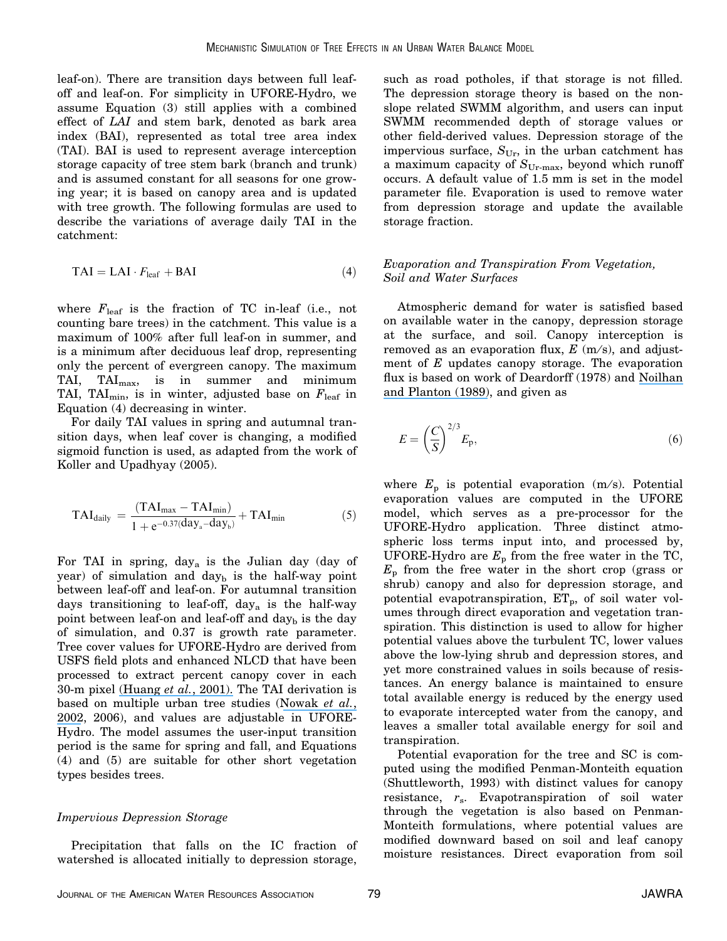leaf-on). There are transition days between full leafoff and leaf-on. For simplicity in UFORE-Hydro, we assume Equation (3) still applies with a combined effect of LAI and stem bark, denoted as bark area index (BAI), represented as total tree area index (TAI). BAI is used to represent average interception storage capacity of tree stem bark (branch and trunk) and is assumed constant for all seasons for one growing year; it is based on canopy area and is updated with tree growth. The following formulas are used to describe the variations of average daily TAI in the catchment:

$$
TAI = LAI \cdot F_{leaf} + BAI \tag{4}
$$

where  $F_{\text{leaf}}$  is the fraction of TC in-leaf (i.e., not counting bare trees) in the catchment. This value is a maximum of 100% after full leaf-on in summer, and is a minimum after deciduous leaf drop, representing only the percent of evergreen canopy. The maximum TAI,  $TAI_{\text{max}}$ , is in summer and minimum TAI, TAI<sub>min</sub>, is in winter, adjusted base on  $F_{\text{leaf}}$  in Equation (4) decreasing in winter.

For daily TAI values in spring and autumnal transition days, when leaf cover is changing, a modified sigmoid function is used, as adapted from the work of Koller and Upadhyay (2005).

$$
TAI_{\text{daily}} = \frac{(TAI_{\text{max}} - TAI_{\text{min}})}{1 + e^{-0.37} (day_a - day_b)} + TAI_{\text{min}}
$$
(5)

For TAI in spring,  $day_a$  is the Julian day (day of year) of simulation and day<sub>b</sub> is the half-way point between leaf-off and leaf-on. For autumnal transition days transitioning to leaf-off, day<sub>a</sub> is the half-way point between leaf-on and leaf-off and day<sub>b</sub> is the day of simulation, and 0.37 is growth rate parameter. Tree cover values for UFORE-Hydro are derived from USFS field plots and enhanced NLCD that have been processed to extract percent canopy cover in each 30-m pixel [\(Huang](https://www.researchgate.net/publication/228752586_A_Strategy_for_Estimating_Tree_Canopy_Density_Using_Landsat_7_ETM_and_High_Resolution_Images_Over_Large_Areas?el=1_x_8&enrichId=rgreq-7249736cdd7635b4cfbf9779bd15ace4-XXX&enrichSource=Y292ZXJQYWdlOzIyNzUxMDU2NjtBUzoxMDI2MDczMTM5NjUwNjFAMTQwMTQ3NDg5ODMwNw==) et al., 2001). The TAI derivation is based on multiple urban tree studies ([Nowak](https://www.researchgate.net/publication/267196587_Brooklyn) et al., [2002](https://www.researchgate.net/publication/267196587_Brooklyn), 2006), and values are adjustable in UFORE-Hydro. The model assumes the user-input transition period is the same for spring and fall, and Equations (4) and (5) are suitable for other short vegetation types besides trees.

## Impervious Depression Storage

Precipitation that falls on the IC fraction of watershed is allocated initially to depression storage,

such as road potholes, if that storage is not filled. The depression storage theory is based on the nonslope related SWMM algorithm, and users can input SWMM recommended depth of storage values or other field-derived values. Depression storage of the impervious surface,  $S_{Ur}$ , in the urban catchment has a maximum capacity of  $S_{U_r \text{max}}$ , beyond which runoff occurs. A default value of 1.5 mm is set in the model parameter file. Evaporation is used to remove water from depression storage and update the available storage fraction.

## Evaporation and Transpiration From Vegetation, Soil and Water Surfaces

Atmospheric demand for water is satisfied based on available water in the canopy, depression storage at the surface, and soil. Canopy interception is removed as an evaporation flux,  $E$  (m/s), and adjustment of E updates canopy storage. The evaporation flux is based on work of Deardorff (1978) and [Noilhan](https://www.researchgate.net/publication/200041992_A_Simple_Parameterization_of_Land_Surface_Processes_for_Meteorological_Models?el=1_x_8&enrichId=rgreq-7249736cdd7635b4cfbf9779bd15ace4-XXX&enrichSource=Y292ZXJQYWdlOzIyNzUxMDU2NjtBUzoxMDI2MDczMTM5NjUwNjFAMTQwMTQ3NDg5ODMwNw==) [and Planton \(1989\)](https://www.researchgate.net/publication/200041992_A_Simple_Parameterization_of_Land_Surface_Processes_for_Meteorological_Models?el=1_x_8&enrichId=rgreq-7249736cdd7635b4cfbf9779bd15ace4-XXX&enrichSource=Y292ZXJQYWdlOzIyNzUxMDU2NjtBUzoxMDI2MDczMTM5NjUwNjFAMTQwMTQ3NDg5ODMwNw==), and given as

$$
E = \left(\frac{C}{S}\right)^{2/3} E_{\rm p},\tag{6}
$$

where  $E_p$  is potential evaporation (m/s). Potential evaporation values are computed in the UFORE model, which serves as a pre-processor for the UFORE-Hydro application. Three distinct atmospheric loss terms input into, and processed by, UFORE-Hydro are  $E_p$  from the free water in the TC,  $E<sub>p</sub>$  from the free water in the short crop (grass or shrub) canopy and also for depression storage, and potential evapotranspiration,  $ET_p$ , of soil water volumes through direct evaporation and vegetation transpiration. This distinction is used to allow for higher potential values above the turbulent TC, lower values above the low-lying shrub and depression stores, and yet more constrained values in soils because of resistances. An energy balance is maintained to ensure total available energy is reduced by the energy used to evaporate intercepted water from the canopy, and leaves a smaller total available energy for soil and transpiration.

Potential evaporation for the tree and SC is computed using the modified Penman-Monteith equation (Shuttleworth, 1993) with distinct values for canopy resistance,  $r_s$ . Evapotranspiration of soil water through the vegetation is also based on Penman-Monteith formulations, where potential values are modified downward based on soil and leaf canopy moisture resistances. Direct evaporation from soil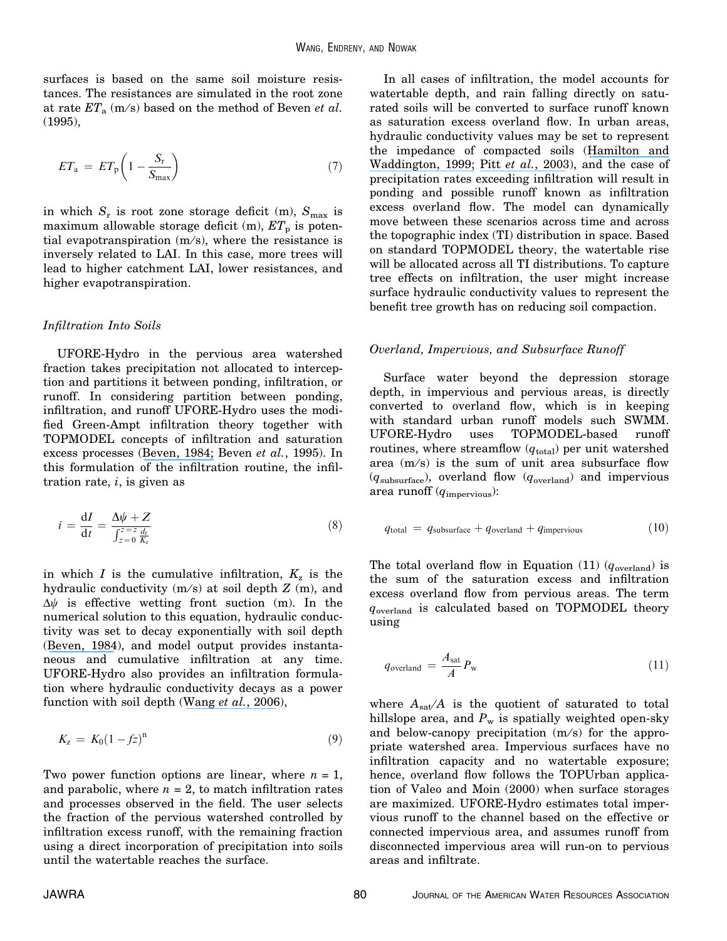surfaces is based on the same soil moisture resistances. The resistances are simulated in the root zone at rate  $ET_a$  (m/s) based on the method of Beven et al. (1995),

$$
ET_{\rm a} = ET_{\rm p} \left( 1 - \frac{S_{\rm r}}{S_{\rm max}} \right) \tag{7}
$$

in which  $S_r$  is root zone storage deficit (m),  $S_{\text{max}}$  is maximum allowable storage deficit (m),  $ET_p$  is potential evapotranspiration  $(m/s)$ , where the resistance is inversely related to LAI. In this case, more trees will lead to higher catchment LAI, lower resistances, and higher evapotranspiration.

#### Infiltration Into Soils

UFORE-Hydro in the pervious area watershed fraction takes precipitation not allocated to interception and partitions it between ponding, infiltration, or runoff. In considering partition between ponding, infiltration, and runoff UFORE-Hydro uses the modified Green-Ampt infiltration theory together with TOPMODEL concepts of infiltration and saturation excess processes ([Beven, 1984;](https://www.researchgate.net/publication/233036018_Infiltration_Into_a_Class_of_Vertically_Non-Uniform_Soils?el=1_x_8&enrichId=rgreq-7249736cdd7635b4cfbf9779bd15ace4-XXX&enrichSource=Y292ZXJQYWdlOzIyNzUxMDU2NjtBUzoxMDI2MDczMTM5NjUwNjFAMTQwMTQ3NDg5ODMwNw==) Beven et al., 1995). In this formulation of the infiltration routine, the infiltration rate,  $i$ , is given as

$$
i = \frac{\mathrm{d}I}{\mathrm{d}t} = \frac{\Delta\psi + Z}{\int_{z=0}^{z=z} \frac{d_z}{K_z}}
$$
(8)

in which I is the cumulative infiltration,  $K_z$  is the hydraulic conductivity  $(m/s)$  at soil depth  $Z(m)$ , and  $\Delta\psi$  is effective wetting front suction (m). In the numerical solution to this equation, hydraulic conductivity was set to decay exponentially with soil depth ([Beven, 1984](https://www.researchgate.net/publication/233036018_Infiltration_Into_a_Class_of_Vertically_Non-Uniform_Soils?el=1_x_8&enrichId=rgreq-7249736cdd7635b4cfbf9779bd15ace4-XXX&enrichSource=Y292ZXJQYWdlOzIyNzUxMDU2NjtBUzoxMDI2MDczMTM5NjUwNjFAMTQwMTQ3NDg5ODMwNw==)), and model output provides instantaneous and cumulative infiltration at any time. UFORE-Hydro also provides an infiltration formulation where hydraulic conductivity decays as a power function with soil depth (Wang *et al.*[, 2006](https://www.researchgate.net/publication/227669392_Power_Function_Decay_of_Hydraulic_Conductivity_for_a_TOPMODEL-Based_Infiltration_Routine?el=1_x_8&enrichId=rgreq-7249736cdd7635b4cfbf9779bd15ace4-XXX&enrichSource=Y292ZXJQYWdlOzIyNzUxMDU2NjtBUzoxMDI2MDczMTM5NjUwNjFAMTQwMTQ3NDg5ODMwNw==)),

$$
K_z = K_0 (1 - fz)^n \tag{9}
$$

Two power function options are linear, where  $n = 1$ , and parabolic, where  $n = 2$ , to match infiltration rates and processes observed in the field. The user selects the fraction of the pervious watershed controlled by infiltration excess runoff, with the remaining fraction using a direct incorporation of precipitation into soils until the watertable reaches the surface.

In all cases of infiltration, the model accounts for watertable depth, and rain falling directly on saturated soils will be converted to surface runoff known as saturation excess overland flow. In urban areas, hydraulic conductivity values may be set to represent the impedance of compacted soils ([Hamilton and](https://www.researchgate.net/publication/287009586_Infiltration_Rates_on_Residential_Lawns_in_Central_Pennsylvania?el=1_x_8&enrichId=rgreq-7249736cdd7635b4cfbf9779bd15ace4-XXX&enrichSource=Y292ZXJQYWdlOzIyNzUxMDU2NjtBUzoxMDI2MDczMTM5NjUwNjFAMTQwMTQ3NDg5ODMwNw==) [Waddington, 1999;](https://www.researchgate.net/publication/287009586_Infiltration_Rates_on_Residential_Lawns_in_Central_Pennsylvania?el=1_x_8&enrichId=rgreq-7249736cdd7635b4cfbf9779bd15ace4-XXX&enrichSource=Y292ZXJQYWdlOzIyNzUxMDU2NjtBUzoxMDI2MDczMTM5NjUwNjFAMTQwMTQ3NDg5ODMwNw==) Pitt et al.[, 2003](https://www.researchgate.net/publication/284221818_Infiltration_Through_Compacted_Urban_Soils_and_Effects_on_Biofiltration_Design?el=1_x_8&enrichId=rgreq-7249736cdd7635b4cfbf9779bd15ace4-XXX&enrichSource=Y292ZXJQYWdlOzIyNzUxMDU2NjtBUzoxMDI2MDczMTM5NjUwNjFAMTQwMTQ3NDg5ODMwNw==)), and the case of precipitation rates exceeding infiltration will result in ponding and possible runoff known as infiltration excess overland flow. The model can dynamically move between these scenarios across time and across the topographic index (TI) distribution in space. Based on standard TOPMODEL theory, the watertable rise will be allocated across all TI distributions. To capture tree effects on infiltration, the user might increase surface hydraulic conductivity values to represent the benefit tree growth has on reducing soil compaction.

#### Overland, Impervious, and Subsurface Runoff

Surface water beyond the depression storage depth, in impervious and pervious areas, is directly converted to overland flow, which is in keeping with standard urban runoff models such SWMM. UFORE-Hydro uses TOPMODEL-based runoff routines, where streamflow  $(q_{total})$  per unit watershed area  $(m/s)$  is the sum of unit area subsurface flow  $(q_{\text{subsurface}})$ , overland flow  $(q_{\text{overland}})$  and impervious area runoff  $(q_{\text{impervious}})$ :

$$
q_{\text{total}} = q_{\text{subsurface}} + q_{\text{overland}} + q_{\text{impervious}} \tag{10}
$$

The total overland flow in Equation (11)  $(q_{\text{overland}})$  is the sum of the saturation excess and infiltration excess overland flow from pervious areas. The term  $q_{\text{overland}}$  is calculated based on TOPMODEL theory using

$$
q_{\text{overland}} = \frac{A_{\text{sat}}}{A} P_{\text{w}}
$$
 (11)

where  $A_{sat}/A$  is the quotient of saturated to total hillslope area, and  $P_w$  is spatially weighted open-sky and below-canopy precipitation  $(m/s)$  for the appropriate watershed area. Impervious surfaces have no infiltration capacity and no watertable exposure; hence, overland flow follows the TOPUrban application of Valeo and Moin (2000) when surface storages are maximized. UFORE-Hydro estimates total impervious runoff to the channel based on the effective or connected impervious area, and assumes runoff from disconnected impervious area will run-on to pervious areas and infiltrate.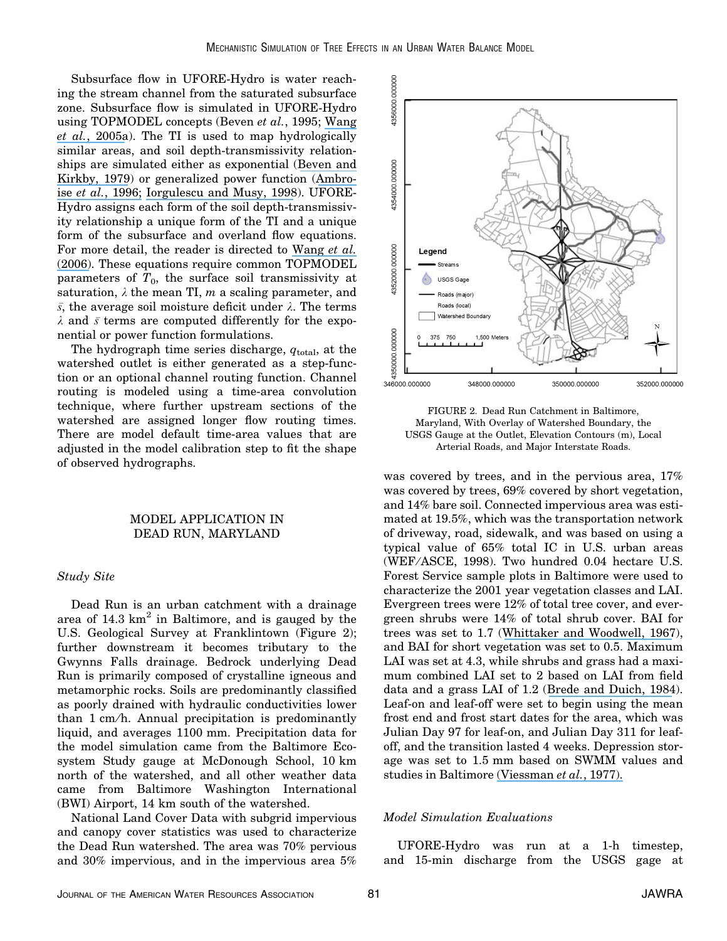Subsurface flow in UFORE-Hydro is water reaching the stream channel from the saturated subsurface zone. Subsurface flow is simulated in UFORE-Hydro using TOPMODEL concepts (Beven *et al.*, 1995; [Wang](https://www.researchgate.net/publication/222824969_Flexible_Modeling_Package_for_Topographically_Based_Watershed_Hydrology?el=1_x_8&enrichId=rgreq-7249736cdd7635b4cfbf9779bd15ace4-XXX&enrichSource=Y292ZXJQYWdlOzIyNzUxMDU2NjtBUzoxMDI2MDczMTM5NjUwNjFAMTQwMTQ3NDg5ODMwNw==) et al.[, 2005a](https://www.researchgate.net/publication/222824969_Flexible_Modeling_Package_for_Topographically_Based_Watershed_Hydrology?el=1_x_8&enrichId=rgreq-7249736cdd7635b4cfbf9779bd15ace4-XXX&enrichSource=Y292ZXJQYWdlOzIyNzUxMDU2NjtBUzoxMDI2MDczMTM5NjUwNjFAMTQwMTQ3NDg5ODMwNw==)). The TI is used to map hydrologically similar areas, and soil depth-transmissivity relationships are simulated either as exponential ([Beven and](https://www.researchgate.net/publication/200472220_A_Physically_Based_Variable_Contributing_Area_Model_of_Basin_Hydrology?el=1_x_8&enrichId=rgreq-7249736cdd7635b4cfbf9779bd15ace4-XXX&enrichSource=Y292ZXJQYWdlOzIyNzUxMDU2NjtBUzoxMDI2MDczMTM5NjUwNjFAMTQwMTQ3NDg5ODMwNw==) [Kirkby, 1979](https://www.researchgate.net/publication/200472220_A_Physically_Based_Variable_Contributing_Area_Model_of_Basin_Hydrology?el=1_x_8&enrichId=rgreq-7249736cdd7635b4cfbf9779bd15ace4-XXX&enrichSource=Y292ZXJQYWdlOzIyNzUxMDU2NjtBUzoxMDI2MDczMTM5NjUwNjFAMTQwMTQ3NDg5ODMwNw==)) or generalized power function ([Ambro](https://www.researchgate.net/publication/248807743_Toward_a_Generalization_of_the_TOPMODEL_Concepts_Topographic_Indices_of_Hydrological_Similarity?el=1_x_8&enrichId=rgreq-7249736cdd7635b4cfbf9779bd15ace4-XXX&enrichSource=Y292ZXJQYWdlOzIyNzUxMDU2NjtBUzoxMDI2MDczMTM5NjUwNjFAMTQwMTQ3NDg5ODMwNw==)ise et al.[, 1996;](https://www.researchgate.net/publication/248807743_Toward_a_Generalization_of_the_TOPMODEL_Concepts_Topographic_Indices_of_Hydrological_Similarity?el=1_x_8&enrichId=rgreq-7249736cdd7635b4cfbf9779bd15ace4-XXX&enrichSource=Y292ZXJQYWdlOzIyNzUxMDU2NjtBUzoxMDI2MDczMTM5NjUwNjFAMTQwMTQ3NDg5ODMwNw==) [Iorgulescu and Musy, 1998](https://www.researchgate.net/publication/230470085_Generation_of_TOPMODEL_for_a_power_law_transmissivity_profile?el=1_x_8&enrichId=rgreq-7249736cdd7635b4cfbf9779bd15ace4-XXX&enrichSource=Y292ZXJQYWdlOzIyNzUxMDU2NjtBUzoxMDI2MDczMTM5NjUwNjFAMTQwMTQ3NDg5ODMwNw==)). UFORE-Hydro assigns each form of the soil depth-transmissivity relationship a unique form of the TI and a unique form of the subsurface and overland flow equations. For more detail, the reader is directed to [Wang](https://www.researchgate.net/publication/227669392_Power_Function_Decay_of_Hydraulic_Conductivity_for_a_TOPMODEL-Based_Infiltration_Routine?el=1_x_8&enrichId=rgreq-7249736cdd7635b4cfbf9779bd15ace4-XXX&enrichSource=Y292ZXJQYWdlOzIyNzUxMDU2NjtBUzoxMDI2MDczMTM5NjUwNjFAMTQwMTQ3NDg5ODMwNw==) et al. [\(2006\)](https://www.researchgate.net/publication/227669392_Power_Function_Decay_of_Hydraulic_Conductivity_for_a_TOPMODEL-Based_Infiltration_Routine?el=1_x_8&enrichId=rgreq-7249736cdd7635b4cfbf9779bd15ace4-XXX&enrichSource=Y292ZXJQYWdlOzIyNzUxMDU2NjtBUzoxMDI2MDczMTM5NjUwNjFAMTQwMTQ3NDg5ODMwNw==). These equations require common TOPMODEL parameters of  $T_0$ , the surface soil transmissivity at saturation,  $\lambda$  the mean TI, m a scaling parameter, and  $\bar{s}$ , the average soil moisture deficit under  $\lambda$ . The terms  $\lambda$  and  $\bar{s}$  terms are computed differently for the exponential or power function formulations.

The hydrograph time series discharge,  $q_{total}$ , at the watershed outlet is either generated as a step-function or an optional channel routing function. Channel routing is modeled using a time-area convolution technique, where further upstream sections of the watershed are assigned longer flow routing times. There are model default time-area values that are adjusted in the model calibration step to fit the shape of observed hydrographs.

## MODEL APPLICATION IN DEAD RUN, MARYLAND

### Study Site

Dead Run is an urban catchment with a drainage area of  $14.3 \text{ km}^2$  in Baltimore, and is gauged by the U.S. Geological Survey at Franklintown (Figure 2); further downstream it becomes tributary to the Gwynns Falls drainage. Bedrock underlying Dead Run is primarily composed of crystalline igneous and metamorphic rocks. Soils are predominantly classified as poorly drained with hydraulic conductivities lower than  $1 \text{ cm/h}$ . Annual precipitation is predominantly liquid, and averages 1100 mm. Precipitation data for the model simulation came from the Baltimore Ecosystem Study gauge at McDonough School, 10 km north of the watershed, and all other weather data came from Baltimore Washington International (BWI) Airport, 14 km south of the watershed.

National Land Cover Data with subgrid impervious and canopy cover statistics was used to characterize the Dead Run watershed. The area was 70% pervious and 30% impervious, and in the impervious area 5%



FIGURE 2. Dead Run Catchment in Baltimore, Maryland, With Overlay of Watershed Boundary, the USGS Gauge at the Outlet, Elevation Contours (m), Local Arterial Roads, and Major Interstate Roads.

was covered by trees, and in the pervious area, 17% was covered by trees, 69% covered by short vegetation, and 14% bare soil. Connected impervious area was estimated at 19.5%, which was the transportation network of driveway, road, sidewalk, and was based on using a typical value of 65% total IC in U.S. urban areas (WEF⁄ASCE, 1998). Two hundred 0.04 hectare U.S. Forest Service sample plots in Baltimore were used to characterize the 2001 year vegetation classes and LAI. Evergreen trees were 12% of total tree cover, and evergreen shrubs were 14% of total shrub cover. BAI for trees was set to 1.7 ([Whittaker and Woodwell, 1967](https://www.researchgate.net/publication/250267390_Surface_Area_Relations_of_Woody_Plants_and_Forest_Communities?el=1_x_8&enrichId=rgreq-7249736cdd7635b4cfbf9779bd15ace4-XXX&enrichSource=Y292ZXJQYWdlOzIyNzUxMDU2NjtBUzoxMDI2MDczMTM5NjUwNjFAMTQwMTQ3NDg5ODMwNw==)), and BAI for short vegetation was set to 0.5. Maximum LAI was set at 4.3, while shrubs and grass had a maximum combined LAI set to 2 based on LAI from field data and a grass LAI of 1.2 ([Brede and Duich, 1984](https://www.researchgate.net/publication/250099300_Initial_Mowing_of_Kentucky_Bluegrass-Perennial_Ryegrass_Seeding_Turf_Mixtures?el=1_x_8&enrichId=rgreq-7249736cdd7635b4cfbf9779bd15ace4-XXX&enrichSource=Y292ZXJQYWdlOzIyNzUxMDU2NjtBUzoxMDI2MDczMTM5NjUwNjFAMTQwMTQ3NDg5ODMwNw==)). Leaf-on and leaf-off were set to begin using the mean frost end and frost start dates for the area, which was Julian Day 97 for leaf-on, and Julian Day 311 for leafoff, and the transition lasted 4 weeks. Depression storage was set to 1.5 mm based on SWMM values and studies in Baltimore [\(Viessman](https://www.researchgate.net/publication/258439276_Introduction_to_Hydrology?el=1_x_8&enrichId=rgreq-7249736cdd7635b4cfbf9779bd15ace4-XXX&enrichSource=Y292ZXJQYWdlOzIyNzUxMDU2NjtBUzoxMDI2MDczMTM5NjUwNjFAMTQwMTQ3NDg5ODMwNw==) et al., 1977).

## Model Simulation Evaluations

UFORE-Hydro was run at a 1-h timestep, and 15-min discharge from the USGS gage at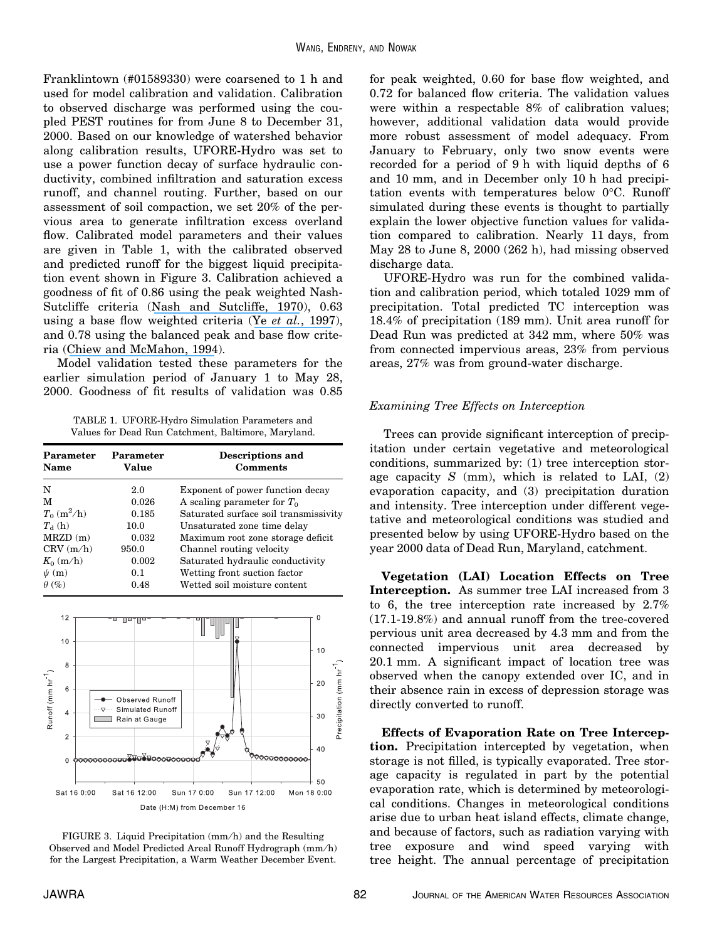Franklintown (#01589330) were coarsened to 1 h and used for model calibration and validation. Calibration to observed discharge was performed using the coupled PEST routines for from June 8 to December 31, 2000. Based on our knowledge of watershed behavior along calibration results, UFORE-Hydro was set to use a power function decay of surface hydraulic conductivity, combined infiltration and saturation excess runoff, and channel routing. Further, based on our assessment of soil compaction, we set 20% of the pervious area to generate infiltration excess overland flow. Calibrated model parameters and their values are given in Table 1, with the calibrated observed and predicted runoff for the biggest liquid precipitation event shown in Figure 3. Calibration achieved a goodness of fit of 0.86 using the peak weighted Nash-Sutcliffe criteria ([Nash and Sutcliffe, 1970](https://www.researchgate.net/publication/200472218_River_Flow_Forecasting_Through_Conceptual_Models_Part_1_-_A_Discussion_of_Principles?el=1_x_8&enrichId=rgreq-7249736cdd7635b4cfbf9779bd15ace4-XXX&enrichSource=Y292ZXJQYWdlOzIyNzUxMDU2NjtBUzoxMDI2MDczMTM5NjUwNjFAMTQwMTQ3NDg5ODMwNw==)), 0.63 using a base flow weighted criteria (Ye et al.[, 1997](https://www.researchgate.net/publication/252470801_Performance_of_Conceptual_Rainfall-Runoff_Models_in_Low-Yielding_Ephemeral_Catchments?el=1_x_8&enrichId=rgreq-7249736cdd7635b4cfbf9779bd15ace4-XXX&enrichSource=Y292ZXJQYWdlOzIyNzUxMDU2NjtBUzoxMDI2MDczMTM5NjUwNjFAMTQwMTQ3NDg5ODMwNw==)), and 0.78 using the balanced peak and base flow criteria ([Chiew and McMahon, 1994](https://www.researchgate.net/publication/223646550_Application_of_the_daily_rainfall-runoff_model_MODHYDROLOG_to_28_Australian_catchments?el=1_x_8&enrichId=rgreq-7249736cdd7635b4cfbf9779bd15ace4-XXX&enrichSource=Y292ZXJQYWdlOzIyNzUxMDU2NjtBUzoxMDI2MDczMTM5NjUwNjFAMTQwMTQ3NDg5ODMwNw==)).

Model validation tested these parameters for the earlier simulation period of January 1 to May 28, 2000. Goodness of fit results of validation was 0.85

TABLE 1. UFORE-Hydro Simulation Parameters and Values for Dead Run Catchment, Baltimore, Maryland.

| Parameter<br>Name         | <b>Parameter</b><br>Value | Descriptions and<br><b>Comments</b>   |
|---------------------------|---------------------------|---------------------------------------|
| N                         | 2.0                       | Exponent of power function decay      |
| M                         | 0.026                     | A scaling parameter for $T_0$         |
| $T_0$ (m <sup>2</sup> /h) | 0.185                     | Saturated surface soil transmissivity |
| $T_{\rm d}$ (h)           | 10.0                      | Unsaturated zone time delay           |
| MRZD(m)                   | 0.032                     | Maximum root zone storage deficit     |
| CRV(m/h)                  | 950.0                     | Channel routing velocity              |
| $K_0$ (m/h)               | 0.002                     | Saturated hydraulic conductivity      |
| $\psi$ (m)                | 0.1                       | Wetting front suction factor          |
| $\theta$ (%)              | 0.48                      | Wetted soil moisture content          |



FIGURE 3. Liquid Precipitation (mm/h) and the Resulting Observed and Model Predicted Areal Runoff Hydrograph (mm/h) for the Largest Precipitation, a Warm Weather December Event.

for peak weighted, 0.60 for base flow weighted, and 0.72 for balanced flow criteria. The validation values were within a respectable 8% of calibration values; however, additional validation data would provide more robust assessment of model adequacy. From January to February, only two snow events were recorded for a period of 9 h with liquid depths of 6 and 10 mm, and in December only 10 h had precipi $tation$  events with temperatures below  $0^{\circ}$ C. Runoff simulated during these events is thought to partially explain the lower objective function values for validation compared to calibration. Nearly 11 days, from May 28 to June 8, 2000 (262 h), had missing observed discharge data.

UFORE-Hydro was run for the combined validation and calibration period, which totaled 1029 mm of precipitation. Total predicted TC interception was 18.4% of precipitation (189 mm). Unit area runoff for Dead Run was predicted at 342 mm, where 50% was from connected impervious areas, 23% from pervious areas, 27% was from ground-water discharge.

## Examining Tree Effects on Interception

Trees can provide significant interception of precipitation under certain vegetative and meteorological conditions, summarized by: (1) tree interception storage capacity  $S$  (mm), which is related to LAI,  $(2)$ evaporation capacity, and (3) precipitation duration and intensity. Tree interception under different vegetative and meteorological conditions was studied and presented below by using UFORE-Hydro based on the year 2000 data of Dead Run, Maryland, catchment.

Vegetation (LAI) Location Effects on Tree Interception. As summer tree LAI increased from 3 to 6, the tree interception rate increased by 2.7% (17.1-19.8%) and annual runoff from the tree-covered pervious unit area decreased by 4.3 mm and from the connected impervious unit area decreased by 20.1 mm. A significant impact of location tree was observed when the canopy extended over IC, and in their absence rain in excess of depression storage was directly converted to runoff.

Effects of Evaporation Rate on Tree Interception. Precipitation intercepted by vegetation, when storage is not filled, is typically evaporated. Tree storage capacity is regulated in part by the potential evaporation rate, which is determined by meteorological conditions. Changes in meteorological conditions arise due to urban heat island effects, climate change, and because of factors, such as radiation varying with tree exposure and wind speed varying with tree height. The annual percentage of precipitation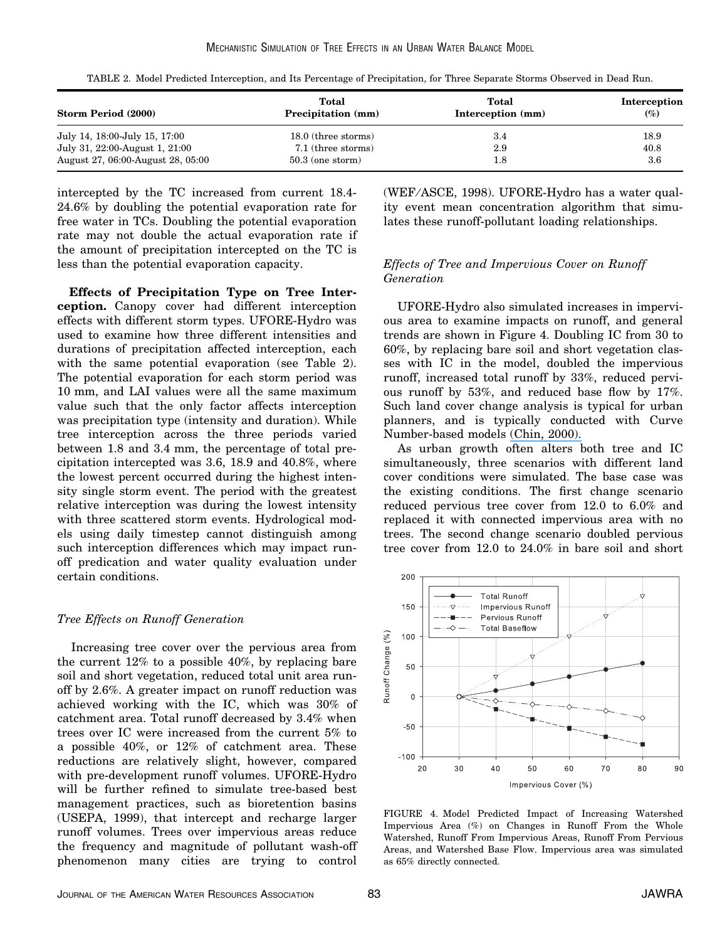| <b>Storm Period (2000)</b>        | Total<br>Precipitation (mm) | Total<br>Interception (mm) | Interception<br>(%) |
|-----------------------------------|-----------------------------|----------------------------|---------------------|
| July 14, 18:00-July 15, 17:00     | 18.0 (three storms)         | 3.4                        | 18.9                |
| July 31, 22:00-August 1, 21:00    | 7.1 (three storms)          | 2.9                        | 40.8                |
| August 27, 06:00-August 28, 05:00 | $50.3$ (one storm)          | 1.8                        | 3.6                 |

TABLE 2. Model Predicted Interception, and Its Percentage of Precipitation, for Three Separate Storms Observed in Dead Run.

intercepted by the TC increased from current 18.4- 24.6% by doubling the potential evaporation rate for free water in TCs. Doubling the potential evaporation rate may not double the actual evaporation rate if the amount of precipitation intercepted on the TC is less than the potential evaporation capacity.

Effects of Precipitation Type on Tree Interception. Canopy cover had different interception effects with different storm types. UFORE-Hydro was used to examine how three different intensities and durations of precipitation affected interception, each with the same potential evaporation (see Table 2). The potential evaporation for each storm period was 10 mm, and LAI values were all the same maximum value such that the only factor affects interception was precipitation type (intensity and duration). While tree interception across the three periods varied between 1.8 and 3.4 mm, the percentage of total precipitation intercepted was 3.6, 18.9 and 40.8%, where the lowest percent occurred during the highest intensity single storm event. The period with the greatest relative interception was during the lowest intensity with three scattered storm events. Hydrological models using daily timestep cannot distinguish among such interception differences which may impact runoff predication and water quality evaluation under certain conditions.

### Tree Effects on Runoff Generation

Increasing tree cover over the pervious area from the current 12% to a possible 40%, by replacing bare soil and short vegetation, reduced total unit area runoff by 2.6%. A greater impact on runoff reduction was achieved working with the IC, which was 30% of catchment area. Total runoff decreased by 3.4% when trees over IC were increased from the current 5% to a possible 40%, or 12% of catchment area. These reductions are relatively slight, however, compared with pre-development runoff volumes. UFORE-Hydro will be further refined to simulate tree-based best management practices, such as bioretention basins (USEPA, 1999), that intercept and recharge larger runoff volumes. Trees over impervious areas reduce the frequency and magnitude of pollutant wash-off phenomenon many cities are trying to control

(WEF⁄ASCE, 1998). UFORE-Hydro has a water quality event mean concentration algorithm that simulates these runoff-pollutant loading relationships.

## Effects of Tree and Impervious Cover on Runoff Generation

UFORE-Hydro also simulated increases in impervious area to examine impacts on runoff, and general trends are shown in Figure 4. Doubling IC from 30 to 60%, by replacing bare soil and short vegetation classes with IC in the model, doubled the impervious runoff, increased total runoff by 33%, reduced pervious runoff by 53%, and reduced base flow by 17%. Such land cover change analysis is typical for urban planners, and is typically conducted with Curve Number-based models [\(Chin, 2000\).](https://www.researchgate.net/publication/49180438_Water_Resources_Engineering?el=1_x_8&enrichId=rgreq-7249736cdd7635b4cfbf9779bd15ace4-XXX&enrichSource=Y292ZXJQYWdlOzIyNzUxMDU2NjtBUzoxMDI2MDczMTM5NjUwNjFAMTQwMTQ3NDg5ODMwNw==)

As urban growth often alters both tree and IC simultaneously, three scenarios with different land cover conditions were simulated. The base case was the existing conditions. The first change scenario reduced pervious tree cover from 12.0 to 6.0% and replaced it with connected impervious area with no trees. The second change scenario doubled pervious tree cover from 12.0 to 24.0% in bare soil and short



FIGURE 4. Model Predicted Impact of Increasing Watershed Impervious Area (%) on Changes in Runoff From the Whole Watershed, Runoff From Impervious Areas, Runoff From Pervious Areas, and Watershed Base Flow. Impervious area was simulated as 65% directly connected.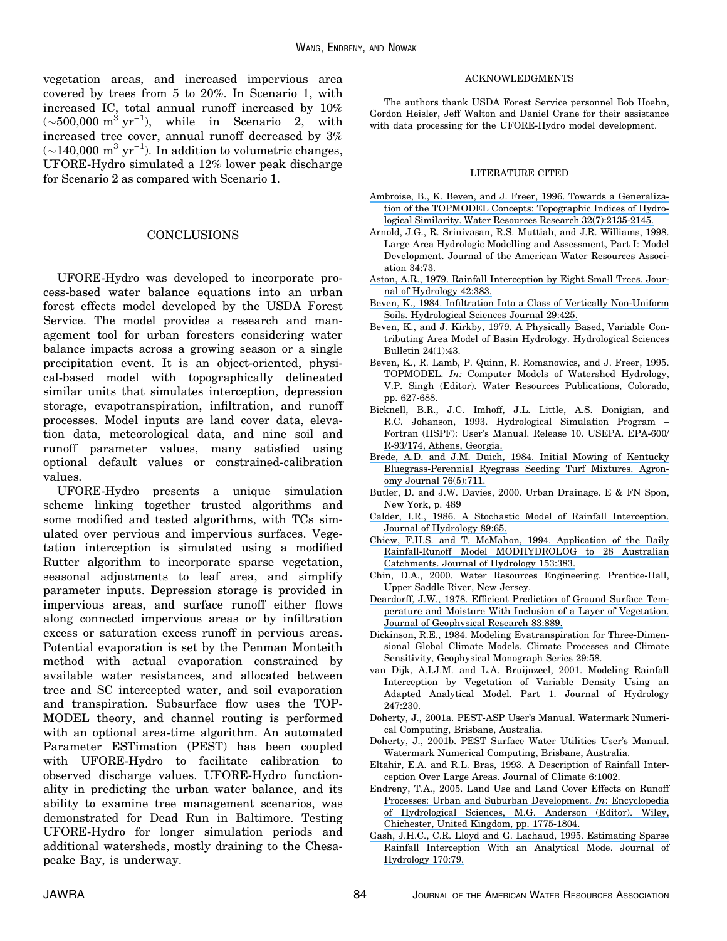vegetation areas, and increased impervious area covered by trees from 5 to 20%. In Scenario 1, with increased IC, total annual runoff increased by 10%  $(\sim 500,000 \; \text{m}^3 \; \text{yr}^{-1})$ , while in Scenario 2, with increased tree cover, annual runoff decreased by 3%  $(\sim)140,000 \text{ m}^3 \text{ yr}^{-1}$ ). In addition to volumetric changes, UFORE-Hydro simulated a 12% lower peak discharge for Scenario 2 as compared with Scenario 1.

### **CONCLUSIONS**

UFORE-Hydro was developed to incorporate process-based water balance equations into an urban forest effects model developed by the USDA Forest Service. The model provides a research and management tool for urban foresters considering water balance impacts across a growing season or a single precipitation event. It is an object-oriented, physical-based model with topographically delineated similar units that simulates interception, depression storage, evapotranspiration, infiltration, and runoff processes. Model inputs are land cover data, elevation data, meteorological data, and nine soil and runoff parameter values, many satisfied using optional default values or constrained-calibration values.

UFORE-Hydro presents a unique simulation scheme linking together trusted algorithms and some modified and tested algorithms, with TCs simulated over pervious and impervious surfaces. Vegetation interception is simulated using a modified Rutter algorithm to incorporate sparse vegetation, seasonal adjustments to leaf area, and simplify parameter inputs. Depression storage is provided in impervious areas, and surface runoff either flows along connected impervious areas or by infiltration excess or saturation excess runoff in pervious areas. Potential evaporation is set by the Penman Monteith method with actual evaporation constrained by available water resistances, and allocated between tree and SC intercepted water, and soil evaporation and transpiration. Subsurface flow uses the TOP-MODEL theory, and channel routing is performed with an optional area-time algorithm. An automated Parameter ESTimation (PEST) has been coupled with UFORE-Hydro to facilitate calibration to observed discharge values. UFORE-Hydro functionality in predicting the urban water balance, and its ability to examine tree management scenarios, was demonstrated for Dead Run in Baltimore. Testing UFORE-Hydro for longer simulation periods and additional watersheds, mostly draining to the Chesapeake Bay, is underway.

#### ACKNOWLEDGMENTS

The authors thank USDA Forest Service personnel Bob Hoehn, Gordon Heisler, Jeff Walton and Daniel Crane for their assistance with data processing for the UFORE-Hydro model development.

#### LITERATURE CITED

- [Ambroise, B., K. Beven, and J. Freer, 1996. Towards a Generaliza](https://www.researchgate.net/publication/248807743_Toward_a_Generalization_of_the_TOPMODEL_Concepts_Topographic_Indices_of_Hydrological_Similarity?el=1_x_8&enrichId=rgreq-7249736cdd7635b4cfbf9779bd15ace4-XXX&enrichSource=Y292ZXJQYWdlOzIyNzUxMDU2NjtBUzoxMDI2MDczMTM5NjUwNjFAMTQwMTQ3NDg5ODMwNw==)[tion of the TOPMODEL Concepts: Topographic Indices of Hydro](https://www.researchgate.net/publication/248807743_Toward_a_Generalization_of_the_TOPMODEL_Concepts_Topographic_Indices_of_Hydrological_Similarity?el=1_x_8&enrichId=rgreq-7249736cdd7635b4cfbf9779bd15ace4-XXX&enrichSource=Y292ZXJQYWdlOzIyNzUxMDU2NjtBUzoxMDI2MDczMTM5NjUwNjFAMTQwMTQ3NDg5ODMwNw==)[logical Similarity. Water Resources Research 32\(7\):2135-2145.](https://www.researchgate.net/publication/248807743_Toward_a_Generalization_of_the_TOPMODEL_Concepts_Topographic_Indices_of_Hydrological_Similarity?el=1_x_8&enrichId=rgreq-7249736cdd7635b4cfbf9779bd15ace4-XXX&enrichSource=Y292ZXJQYWdlOzIyNzUxMDU2NjtBUzoxMDI2MDczMTM5NjUwNjFAMTQwMTQ3NDg5ODMwNw==)
- Arnold, J.G., R. Srinivasan, R.S. Muttiah, and J.R. Williams, 1998. Large Area Hydrologic Modelling and Assessment, Part I: Model Development. Journal of the American Water Resources Association 34:73.
- [Aston, A.R., 1979. Rainfall Interception by Eight Small Trees. Jour](https://www.researchgate.net/publication/222748000_Rainfall_Interception_by_Eight_Small_Trees?el=1_x_8&enrichId=rgreq-7249736cdd7635b4cfbf9779bd15ace4-XXX&enrichSource=Y292ZXJQYWdlOzIyNzUxMDU2NjtBUzoxMDI2MDczMTM5NjUwNjFAMTQwMTQ3NDg5ODMwNw==)[nal of Hydrology 42:383.](https://www.researchgate.net/publication/222748000_Rainfall_Interception_by_Eight_Small_Trees?el=1_x_8&enrichId=rgreq-7249736cdd7635b4cfbf9779bd15ace4-XXX&enrichSource=Y292ZXJQYWdlOzIyNzUxMDU2NjtBUzoxMDI2MDczMTM5NjUwNjFAMTQwMTQ3NDg5ODMwNw==)
- [Beven, K., 1984. Infiltration Into a Class of Vertically Non-Uniform](https://www.researchgate.net/publication/233036018_Infiltration_Into_a_Class_of_Vertically_Non-Uniform_Soils?el=1_x_8&enrichId=rgreq-7249736cdd7635b4cfbf9779bd15ace4-XXX&enrichSource=Y292ZXJQYWdlOzIyNzUxMDU2NjtBUzoxMDI2MDczMTM5NjUwNjFAMTQwMTQ3NDg5ODMwNw==) [Soils. Hydrological Sciences Journal 29:425.](https://www.researchgate.net/publication/233036018_Infiltration_Into_a_Class_of_Vertically_Non-Uniform_Soils?el=1_x_8&enrichId=rgreq-7249736cdd7635b4cfbf9779bd15ace4-XXX&enrichSource=Y292ZXJQYWdlOzIyNzUxMDU2NjtBUzoxMDI2MDczMTM5NjUwNjFAMTQwMTQ3NDg5ODMwNw==)
- [Beven, K., and J. Kirkby, 1979. A Physically Based, Variable Con](https://www.researchgate.net/publication/200472220_A_Physically_Based_Variable_Contributing_Area_Model_of_Basin_Hydrology?el=1_x_8&enrichId=rgreq-7249736cdd7635b4cfbf9779bd15ace4-XXX&enrichSource=Y292ZXJQYWdlOzIyNzUxMDU2NjtBUzoxMDI2MDczMTM5NjUwNjFAMTQwMTQ3NDg5ODMwNw==)[tributing Area Model of Basin Hydrology. Hydrological Sciences](https://www.researchgate.net/publication/200472220_A_Physically_Based_Variable_Contributing_Area_Model_of_Basin_Hydrology?el=1_x_8&enrichId=rgreq-7249736cdd7635b4cfbf9779bd15ace4-XXX&enrichSource=Y292ZXJQYWdlOzIyNzUxMDU2NjtBUzoxMDI2MDczMTM5NjUwNjFAMTQwMTQ3NDg5ODMwNw==) [Bulletin 24\(1\):43.](https://www.researchgate.net/publication/200472220_A_Physically_Based_Variable_Contributing_Area_Model_of_Basin_Hydrology?el=1_x_8&enrichId=rgreq-7249736cdd7635b4cfbf9779bd15ace4-XXX&enrichSource=Y292ZXJQYWdlOzIyNzUxMDU2NjtBUzoxMDI2MDczMTM5NjUwNjFAMTQwMTQ3NDg5ODMwNw==)
- Beven, K., R. Lamb, P. Quinn, R. Romanowics, and J. Freer, 1995. TOPMODEL. In: Computer Models of Watershed Hydrology, V.P. Singh (Editor). Water Resources Publications, Colorado, pp. 627-688.
- [Bicknell, B.R., J.C. Imhoff, J.L. Little, A.S. Donigian, and](https://www.researchgate.net/publication/244059754_Hydrological_Simulation_Program_-_FORTRAN_User) [R.C. Johanson, 1993. Hydrological Simulation Program –](https://www.researchgate.net/publication/244059754_Hydrological_Simulation_Program_-_FORTRAN_User) [Fortran \(HSPF\): User's Manual. Release 10. USEPA. EPA-600/](https://www.researchgate.net/publication/244059754_Hydrological_Simulation_Program_-_FORTRAN_User) [R-93/174, Athens, Georgia.](https://www.researchgate.net/publication/244059754_Hydrological_Simulation_Program_-_FORTRAN_User)
- [Brede, A.D. and J.M. Duich, 1984. Initial Mowing of Kentucky](https://www.researchgate.net/publication/250099300_Initial_Mowing_of_Kentucky_Bluegrass-Perennial_Ryegrass_Seeding_Turf_Mixtures?el=1_x_8&enrichId=rgreq-7249736cdd7635b4cfbf9779bd15ace4-XXX&enrichSource=Y292ZXJQYWdlOzIyNzUxMDU2NjtBUzoxMDI2MDczMTM5NjUwNjFAMTQwMTQ3NDg5ODMwNw==) [Bluegrass-Perennial Ryegrass Seeding Turf Mixtures. Agron](https://www.researchgate.net/publication/250099300_Initial_Mowing_of_Kentucky_Bluegrass-Perennial_Ryegrass_Seeding_Turf_Mixtures?el=1_x_8&enrichId=rgreq-7249736cdd7635b4cfbf9779bd15ace4-XXX&enrichSource=Y292ZXJQYWdlOzIyNzUxMDU2NjtBUzoxMDI2MDczMTM5NjUwNjFAMTQwMTQ3NDg5ODMwNw==)[omy Journal 76\(5\):711.](https://www.researchgate.net/publication/250099300_Initial_Mowing_of_Kentucky_Bluegrass-Perennial_Ryegrass_Seeding_Turf_Mixtures?el=1_x_8&enrichId=rgreq-7249736cdd7635b4cfbf9779bd15ace4-XXX&enrichSource=Y292ZXJQYWdlOzIyNzUxMDU2NjtBUzoxMDI2MDczMTM5NjUwNjFAMTQwMTQ3NDg5ODMwNw==)
- Butler, D. and J.W. Davies, 2000. Urban Drainage. E & FN Spon, New York, p. 489
- [Calder, I.R., 1986. A Stochastic Model of Rainfall Interception.](https://www.researchgate.net/publication/222126713_A_Stochastic_Model_of_Rainfall_Interception?el=1_x_8&enrichId=rgreq-7249736cdd7635b4cfbf9779bd15ace4-XXX&enrichSource=Y292ZXJQYWdlOzIyNzUxMDU2NjtBUzoxMDI2MDczMTM5NjUwNjFAMTQwMTQ3NDg5ODMwNw==) [Journal of Hydrology 89:65.](https://www.researchgate.net/publication/222126713_A_Stochastic_Model_of_Rainfall_Interception?el=1_x_8&enrichId=rgreq-7249736cdd7635b4cfbf9779bd15ace4-XXX&enrichSource=Y292ZXJQYWdlOzIyNzUxMDU2NjtBUzoxMDI2MDczMTM5NjUwNjFAMTQwMTQ3NDg5ODMwNw==)
- [Chiew, F.H.S. and T. McMahon, 1994. Application of the Daily](https://www.researchgate.net/publication/223646550_Application_of_the_daily_rainfall-runoff_model_MODHYDROLOG_to_28_Australian_catchments?el=1_x_8&enrichId=rgreq-7249736cdd7635b4cfbf9779bd15ace4-XXX&enrichSource=Y292ZXJQYWdlOzIyNzUxMDU2NjtBUzoxMDI2MDczMTM5NjUwNjFAMTQwMTQ3NDg5ODMwNw==) [Rainfall-Runoff Model MODHYDROLOG to 28 Australian](https://www.researchgate.net/publication/223646550_Application_of_the_daily_rainfall-runoff_model_MODHYDROLOG_to_28_Australian_catchments?el=1_x_8&enrichId=rgreq-7249736cdd7635b4cfbf9779bd15ace4-XXX&enrichSource=Y292ZXJQYWdlOzIyNzUxMDU2NjtBUzoxMDI2MDczMTM5NjUwNjFAMTQwMTQ3NDg5ODMwNw==) [Catchments. Journal of Hydrology 153:383.](https://www.researchgate.net/publication/223646550_Application_of_the_daily_rainfall-runoff_model_MODHYDROLOG_to_28_Australian_catchments?el=1_x_8&enrichId=rgreq-7249736cdd7635b4cfbf9779bd15ace4-XXX&enrichSource=Y292ZXJQYWdlOzIyNzUxMDU2NjtBUzoxMDI2MDczMTM5NjUwNjFAMTQwMTQ3NDg5ODMwNw==)
- Chin, D.A., 2000. Water Resources Engineering. Prentice-Hall, Upper Saddle River, New Jersey.
- [Deardorff, J.W., 1978. Efficient Prediction of Ground Surface Tem](https://www.researchgate.net/publication/200472212_Efficient_Prediction_of_Ground_Surface_Temperature_and_Moisture_With_Inclusion_of_a_Layer_of_Vegetation?el=1_x_8&enrichId=rgreq-7249736cdd7635b4cfbf9779bd15ace4-XXX&enrichSource=Y292ZXJQYWdlOzIyNzUxMDU2NjtBUzoxMDI2MDczMTM5NjUwNjFAMTQwMTQ3NDg5ODMwNw==)[perature and Moisture With Inclusion of a Layer of Vegetation.](https://www.researchgate.net/publication/200472212_Efficient_Prediction_of_Ground_Surface_Temperature_and_Moisture_With_Inclusion_of_a_Layer_of_Vegetation?el=1_x_8&enrichId=rgreq-7249736cdd7635b4cfbf9779bd15ace4-XXX&enrichSource=Y292ZXJQYWdlOzIyNzUxMDU2NjtBUzoxMDI2MDczMTM5NjUwNjFAMTQwMTQ3NDg5ODMwNw==) [Journal of Geophysical Research 83:889.](https://www.researchgate.net/publication/200472212_Efficient_Prediction_of_Ground_Surface_Temperature_and_Moisture_With_Inclusion_of_a_Layer_of_Vegetation?el=1_x_8&enrichId=rgreq-7249736cdd7635b4cfbf9779bd15ace4-XXX&enrichSource=Y292ZXJQYWdlOzIyNzUxMDU2NjtBUzoxMDI2MDczMTM5NjUwNjFAMTQwMTQ3NDg5ODMwNw==)
- Dickinson, R.E., 1984. Modeling Evatranspiration for Three-Dimensional Global Climate Models. Climate Processes and Climate Sensitivity, Geophysical Monograph Series 29:58.
- van Dijk, A.I.J.M. and L.A. Bruijnzeel, 2001. Modeling Rainfall Interception by Vegetation of Variable Density Using an Adapted Analytical Model. Part 1. Journal of Hydrology 247:230.
- Doherty, J., 2001a. PEST-ASP User's Manual. Watermark Numerical Computing, Brisbane, Australia.
- Doherty, J., 2001b. PEST Surface Water Utilities User's Manual. Watermark Numerical Computing, Brisbane, Australia.
- [Eltahir, E.A. and R.L. Bras, 1993. A Description of Rainfall Inter](https://www.researchgate.net/publication/23899488_A_Description_of_Rainfall_Interception_Over_Large_Areas?el=1_x_8&enrichId=rgreq-7249736cdd7635b4cfbf9779bd15ace4-XXX&enrichSource=Y292ZXJQYWdlOzIyNzUxMDU2NjtBUzoxMDI2MDczMTM5NjUwNjFAMTQwMTQ3NDg5ODMwNw==)[ception Over Large Areas. Journal of Climate 6:1002.](https://www.researchgate.net/publication/23899488_A_Description_of_Rainfall_Interception_Over_Large_Areas?el=1_x_8&enrichId=rgreq-7249736cdd7635b4cfbf9779bd15ace4-XXX&enrichSource=Y292ZXJQYWdlOzIyNzUxMDU2NjtBUzoxMDI2MDczMTM5NjUwNjFAMTQwMTQ3NDg5ODMwNw==)
- [Endreny, T.A., 2005. Land Use and Land Cover Effects on Runoff](https://www.researchgate.net/publication/229749876_Land_Use_and_Land_Cover_Effects_on_Runoff_Processes_Urban_and_Suburban_Development?el=1_x_8&enrichId=rgreq-7249736cdd7635b4cfbf9779bd15ace4-XXX&enrichSource=Y292ZXJQYWdlOzIyNzUxMDU2NjtBUzoxMDI2MDczMTM5NjUwNjFAMTQwMTQ3NDg5ODMwNw==) [Processes: Urban and Suburban Development.](https://www.researchgate.net/publication/229749876_Land_Use_and_Land_Cover_Effects_on_Runoff_Processes_Urban_and_Suburban_Development?el=1_x_8&enrichId=rgreq-7249736cdd7635b4cfbf9779bd15ace4-XXX&enrichSource=Y292ZXJQYWdlOzIyNzUxMDU2NjtBUzoxMDI2MDczMTM5NjUwNjFAMTQwMTQ3NDg5ODMwNw==) In: Encyclopedia [of Hydrological Sciences, M.G. Anderson \(Editor\). Wiley,](https://www.researchgate.net/publication/229749876_Land_Use_and_Land_Cover_Effects_on_Runoff_Processes_Urban_and_Suburban_Development?el=1_x_8&enrichId=rgreq-7249736cdd7635b4cfbf9779bd15ace4-XXX&enrichSource=Y292ZXJQYWdlOzIyNzUxMDU2NjtBUzoxMDI2MDczMTM5NjUwNjFAMTQwMTQ3NDg5ODMwNw==) [Chichester, United Kingdom, pp. 1775-1804.](https://www.researchgate.net/publication/229749876_Land_Use_and_Land_Cover_Effects_on_Runoff_Processes_Urban_and_Suburban_Development?el=1_x_8&enrichId=rgreq-7249736cdd7635b4cfbf9779bd15ace4-XXX&enrichSource=Y292ZXJQYWdlOzIyNzUxMDU2NjtBUzoxMDI2MDczMTM5NjUwNjFAMTQwMTQ3NDg5ODMwNw==)
- [Gash, J.H.C., C.R. Lloyd and G. Lachaud, 1995. Estimating Sparse](https://www.researchgate.net/publication/51997217_Estimating_Sparse_Rainfall_Interception_With_an_Analytical_Mode?el=1_x_8&enrichId=rgreq-7249736cdd7635b4cfbf9779bd15ace4-XXX&enrichSource=Y292ZXJQYWdlOzIyNzUxMDU2NjtBUzoxMDI2MDczMTM5NjUwNjFAMTQwMTQ3NDg5ODMwNw==) [Rainfall Interception With an Analytical Mode. Journal of](https://www.researchgate.net/publication/51997217_Estimating_Sparse_Rainfall_Interception_With_an_Analytical_Mode?el=1_x_8&enrichId=rgreq-7249736cdd7635b4cfbf9779bd15ace4-XXX&enrichSource=Y292ZXJQYWdlOzIyNzUxMDU2NjtBUzoxMDI2MDczMTM5NjUwNjFAMTQwMTQ3NDg5ODMwNw==) [Hydrology 170:79.](https://www.researchgate.net/publication/51997217_Estimating_Sparse_Rainfall_Interception_With_an_Analytical_Mode?el=1_x_8&enrichId=rgreq-7249736cdd7635b4cfbf9779bd15ace4-XXX&enrichSource=Y292ZXJQYWdlOzIyNzUxMDU2NjtBUzoxMDI2MDczMTM5NjUwNjFAMTQwMTQ3NDg5ODMwNw==)